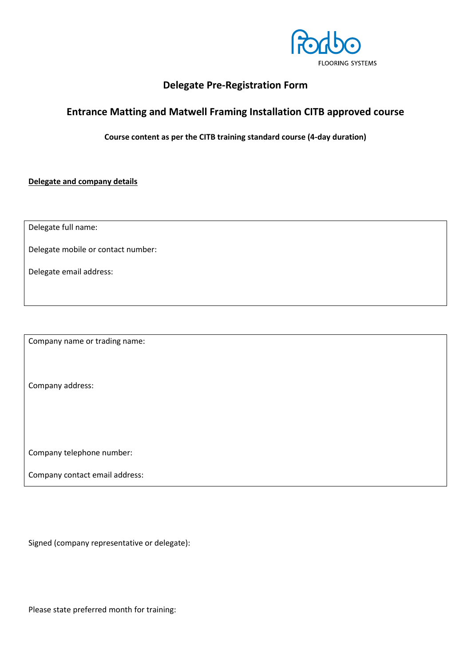

# **Delegate Pre-Registration Form**

# **Entrance Matting and Matwell Framing Installation CITB approved course**

**Course content as per the CITB training standard course (4-day duration)**

**Delegate and company details**

Delegate full name:

Delegate mobile or contact number:

Delegate email address:

Company name or trading name:

Company address:

Company telephone number:

Company contact email address:

Signed (company representative or delegate):

Please state preferred month for training: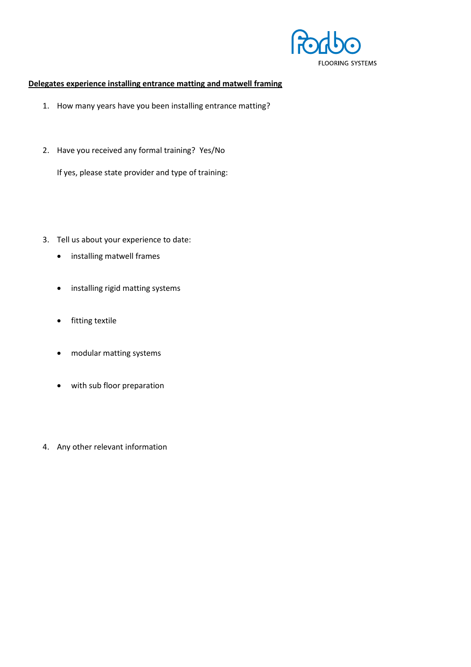

## **Delegates experience installing entrance matting and matwell framing**

- 1. How many years have you been installing entrance matting?
- 2. Have you received any formal training? Yes/No

If yes, please state provider and type of training:

- 3. Tell us about your experience to date:
	- installing matwell frames
	- installing rigid matting systems
	- fitting textile
	- modular matting systems
	- with sub floor preparation
- 4. Any other relevant information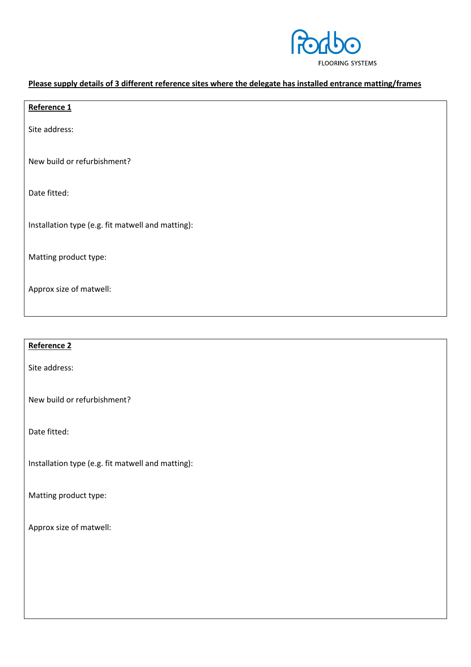

## **Please supply details of 3 different reference sites where the delegate has installed entrance matting/frames**

| Reference 1                                       |
|---------------------------------------------------|
| Site address:                                     |
| New build or refurbishment?                       |
| Date fitted:                                      |
| Installation type (e.g. fit matwell and matting): |
| Matting product type:                             |
| Approx size of matwell:                           |
|                                                   |

## **Reference 2**

Site address:

New build or refurbishment?

Date fitted:

Installation type (e.g. fit matwell and matting):

Matting product type:

Approx size of matwell: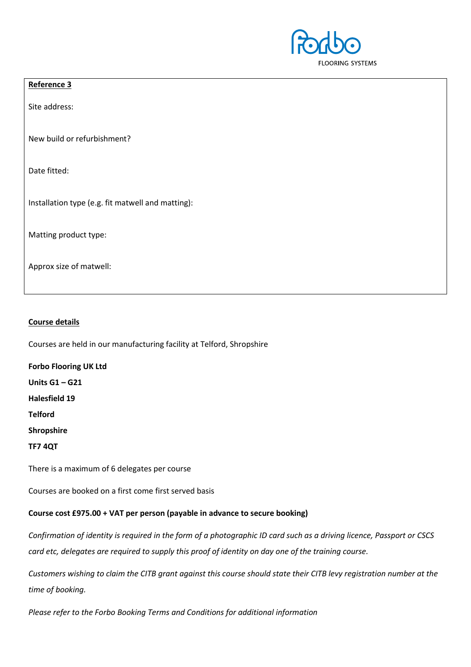

## **Reference 3**

Site address:

New build or refurbishment?

Date fitted:

Installation type (e.g. fit matwell and matting):

Matting product type:

Approx size of matwell:

### **Course details**

Courses are held in our manufacturing facility at Telford, Shropshire

**Forbo Flooring UK Ltd**

**Units G1 – G21**

**Halesfield 19**

**Telford** 

**Shropshire**

**TF7 4QT**

There is a maximum of 6 delegates per course

Courses are booked on a first come first served basis

### **Course cost £975.00 + VAT per person (payable in advance to secure booking)**

*Confirmation of identity is required in the form of a photographic ID card such as a driving licence, Passport or CSCS card etc, delegates are required to supply this proof of identity on day one of the training course.*

*Customers wishing to claim the CITB grant against this course should state their CITB levy registration number at the time of booking.*

*Please refer to the Forbo Booking Terms and Conditions for additional information*